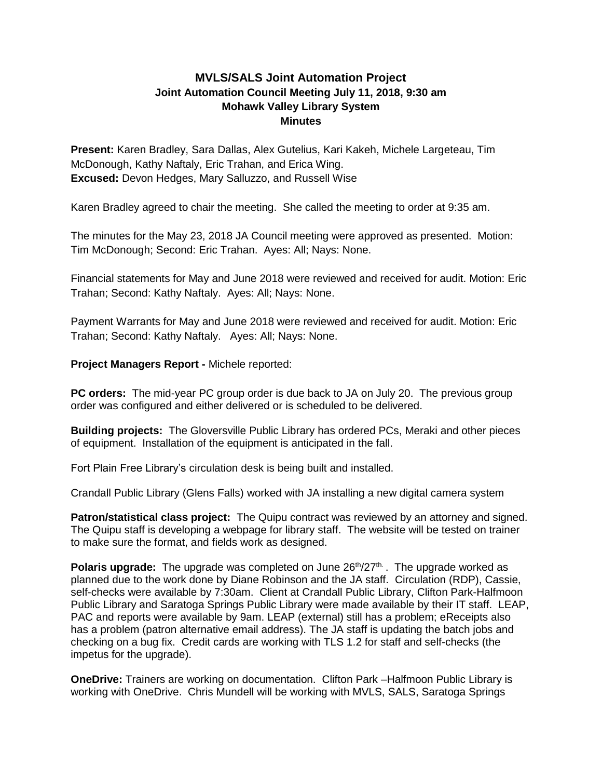## **MVLS/SALS Joint Automation Project Joint Automation Council Meeting July 11, 2018, 9:30 am Mohawk Valley Library System Minutes**

**Present:** Karen Bradley, Sara Dallas, Alex Gutelius, Kari Kakeh, Michele Largeteau, Tim McDonough, Kathy Naftaly, Eric Trahan, and Erica Wing. **Excused:** Devon Hedges, Mary Salluzzo, and Russell Wise

Karen Bradley agreed to chair the meeting. She called the meeting to order at 9:35 am.

The minutes for the May 23, 2018 JA Council meeting were approved as presented. Motion: Tim McDonough; Second: Eric Trahan. Ayes: All; Nays: None.

Financial statements for May and June 2018 were reviewed and received for audit. Motion: Eric Trahan; Second: Kathy Naftaly. Ayes: All; Nays: None.

Payment Warrants for May and June 2018 were reviewed and received for audit. Motion: Eric Trahan; Second: Kathy Naftaly. Ayes: All; Nays: None.

## **Project Managers Report -** Michele reported:

**PC orders:** The mid-year PC group order is due back to JA on July 20. The previous group order was configured and either delivered or is scheduled to be delivered.

**Building projects:** The Gloversville Public Library has ordered PCs, Meraki and other pieces of equipment. Installation of the equipment is anticipated in the fall.

Fort Plain Free Library's circulation desk is being built and installed.

Crandall Public Library (Glens Falls) worked with JA installing a new digital camera system

**Patron/statistical class project:** The Quipu contract was reviewed by an attorney and signed. The Quipu staff is developing a webpage for library staff. The website will be tested on trainer to make sure the format, and fields work as designed.

**Polaris upgrade:** The upgrade was completed on June 26<sup>th</sup>/27<sup>th.</sup> . The upgrade worked as planned due to the work done by Diane Robinson and the JA staff. Circulation (RDP), Cassie, self-checks were available by 7:30am. Client at Crandall Public Library, Clifton Park-Halfmoon Public Library and Saratoga Springs Public Library were made available by their IT staff. LEAP, PAC and reports were available by 9am. LEAP (external) still has a problem; eReceipts also has a problem (patron alternative email address). The JA staff is updating the batch jobs and checking on a bug fix. Credit cards are working with TLS 1.2 for staff and self-checks (the impetus for the upgrade).

**OneDrive:** Trainers are working on documentation. Clifton Park –Halfmoon Public Library is working with OneDrive. Chris Mundell will be working with MVLS, SALS, Saratoga Springs